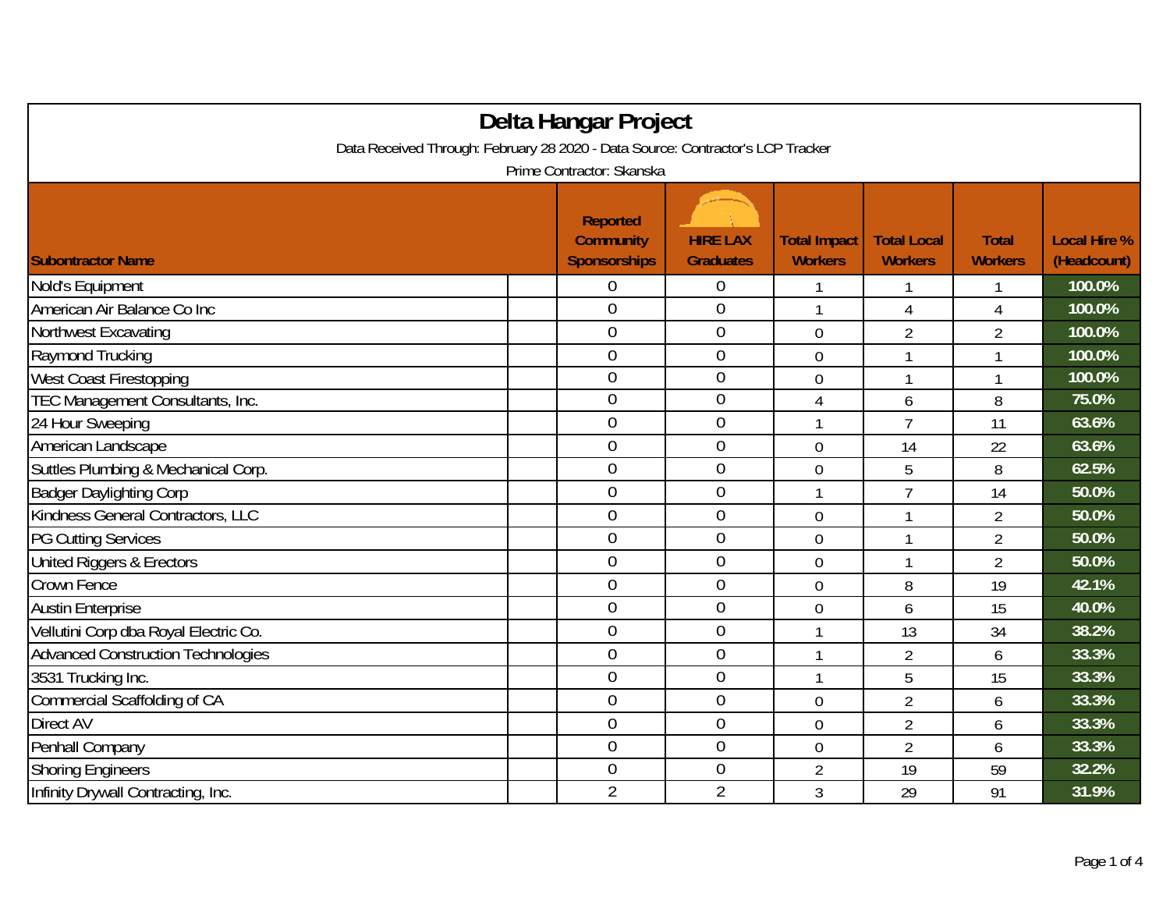| Delta Hangar Project                                                            |                                                            |                                     |                                       |                                      |                                |                                    |  |  |  |
|---------------------------------------------------------------------------------|------------------------------------------------------------|-------------------------------------|---------------------------------------|--------------------------------------|--------------------------------|------------------------------------|--|--|--|
| Data Received Through: February 28 2020 - Data Source: Contractor's LCP Tracker |                                                            |                                     |                                       |                                      |                                |                                    |  |  |  |
| Prime Contractor: Skanska                                                       |                                                            |                                     |                                       |                                      |                                |                                    |  |  |  |
| <b>Subontractor Name</b>                                                        | <b>Reported</b><br><b>Community</b><br><b>Sponsorships</b> | <b>HIRE LAX</b><br><b>Graduates</b> | <b>Total Impact</b><br><b>Workers</b> | <b>Total Local</b><br><b>Workers</b> | <b>Total</b><br><b>Workers</b> | <b>Local Hire %</b><br>(Headcount) |  |  |  |
| Nold's Equipment                                                                | 0                                                          | $\mathbf 0$                         |                                       |                                      | 1                              | 100.0%                             |  |  |  |
| American Air Balance Co Inc                                                     | $\mathbf 0$                                                | $\boldsymbol{0}$                    | 1                                     | 4                                    | $\overline{4}$                 | 100.0%                             |  |  |  |
| Northwest Excavating                                                            | $\mathbf 0$                                                | $\mathbf 0$                         | $\overline{0}$                        | $\overline{2}$                       | $\overline{2}$                 | 100.0%                             |  |  |  |
| Raymond Trucking                                                                | $\overline{0}$                                             | $\mathbf 0$                         | $\mathbf 0$                           | 1                                    | 1                              | 100.0%                             |  |  |  |
| <b>West Coast Firestopping</b>                                                  | $\overline{0}$                                             | $\mathbf 0$                         | $\overline{0}$                        |                                      | 1                              | 100.0%                             |  |  |  |
| TEC Management Consultants, Inc.                                                | $\overline{0}$                                             | $\mathbf 0$                         | 4                                     | 6                                    | 8                              | 75.0%                              |  |  |  |
| 24 Hour Sweeping                                                                | $\overline{0}$                                             | $\boldsymbol{0}$                    | 1                                     | $\overline{1}$                       | 11                             | 63.6%                              |  |  |  |
| American Landscape                                                              | $\mathbf 0$                                                | $\mathbf 0$                         | 0                                     | 14                                   | 22                             | 63.6%                              |  |  |  |
| Suttles Plumbing & Mechanical Corp.                                             | $\overline{0}$                                             | $\mathbf 0$                         | $\overline{0}$                        | 5                                    | 8                              | 62.5%                              |  |  |  |
| <b>Badger Daylighting Corp</b>                                                  | $\mathbf 0$                                                | $\mathbf{0}$                        | 1                                     | $\overline{7}$                       | 14                             | 50.0%                              |  |  |  |
| Kindness General Contractors, LLC                                               | $\overline{0}$                                             | $\mathbf 0$                         | $\overline{0}$                        | 1                                    | $\overline{2}$                 | 50.0%                              |  |  |  |
| <b>PG Cutting Services</b>                                                      | $\overline{0}$                                             | $\boldsymbol{0}$                    | 0                                     | 1                                    | $\overline{2}$                 | 50.0%                              |  |  |  |
| United Riggers & Erectors                                                       | $\overline{0}$                                             | $\overline{0}$                      | $\overline{0}$                        | 1                                    | $\overline{2}$                 | 50.0%                              |  |  |  |
| Crown Fence                                                                     | $\overline{0}$                                             | $\mathbf{0}$                        | 0                                     | 8                                    | 19                             | 42.1%                              |  |  |  |
| <b>Austin Enterprise</b>                                                        | $\overline{0}$                                             | $\overline{0}$                      | $\overline{0}$                        | 6                                    | 15                             | 40.0%                              |  |  |  |
| Vellutini Corp dba Royal Electric Co.                                           | $\overline{0}$                                             | $\boldsymbol{0}$                    | 1                                     | 13                                   | 34                             | 38.2%                              |  |  |  |
| <b>Advanced Construction Technologies</b>                                       | $\overline{0}$                                             | $\mathbf 0$                         | $\mathbf{1}$                          | $\overline{2}$                       | 6                              | 33.3%                              |  |  |  |
| 3531 Trucking Inc.                                                              | $\overline{0}$                                             | $\mathbf 0$                         | 1                                     | 5                                    | 15                             | 33.3%                              |  |  |  |
| Commercial Scaffolding of CA                                                    | $\overline{0}$                                             | $\mathbf 0$                         | $\mathbf 0$                           | $\overline{2}$                       | 6                              | 33.3%                              |  |  |  |
| Direct AV                                                                       | $\overline{0}$                                             | $\boldsymbol{0}$                    | $\mathbf 0$                           | $\overline{2}$                       | 6                              | 33.3%                              |  |  |  |
| Penhall Company                                                                 | $\overline{0}$                                             | $\boldsymbol{0}$                    | $\mathbf 0$                           | $\overline{2}$                       | 6                              | 33.3%                              |  |  |  |
| <b>Shoring Engineers</b>                                                        | $\overline{0}$                                             | $\overline{0}$                      | $\overline{2}$                        | 19                                   | 59                             | 32.2%                              |  |  |  |
| Infinity Drywall Contracting, Inc.                                              | $\overline{2}$                                             | $\overline{2}$                      | 3                                     | 29                                   | 91                             | 31.9%                              |  |  |  |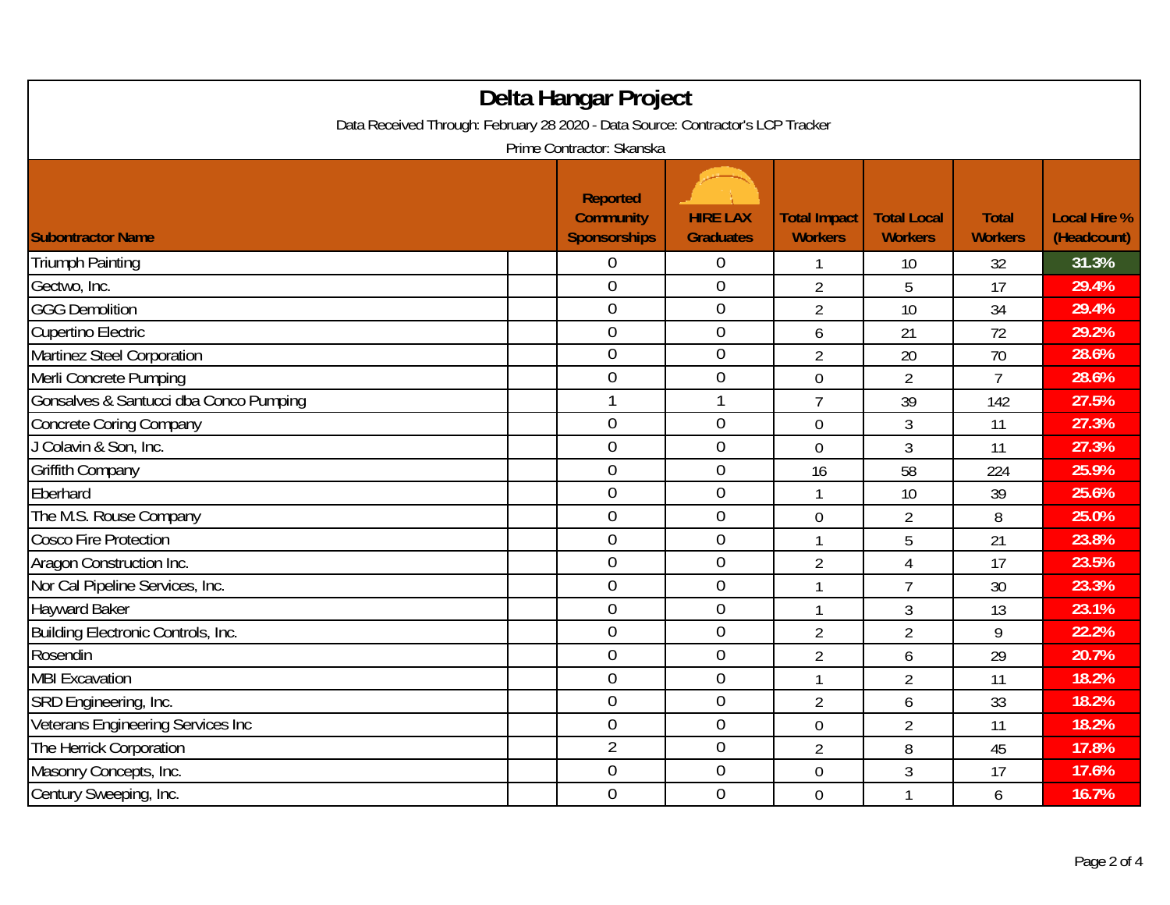| Delta Hangar Project<br>Data Received Through: February 28 2020 - Data Source: Contractor's LCP Tracker |  |                                                            |                                     |                                       |                                      |                                |                                    |
|---------------------------------------------------------------------------------------------------------|--|------------------------------------------------------------|-------------------------------------|---------------------------------------|--------------------------------------|--------------------------------|------------------------------------|
|                                                                                                         |  | Prime Contractor: Skanska                                  |                                     |                                       |                                      |                                |                                    |
| <b>Subontractor Name</b>                                                                                |  | <b>Reported</b><br><b>Community</b><br><b>Sponsorships</b> | <b>HIRE LAX</b><br><b>Graduates</b> | <b>Total Impact</b><br><b>Workers</b> | <b>Total Local</b><br><b>Workers</b> | <b>Total</b><br><b>Workers</b> | <b>Local Hire %</b><br>(Headcount) |
| <b>Triumph Painting</b>                                                                                 |  | 0                                                          | $\boldsymbol{0}$                    |                                       | 10                                   | 32                             | 31.3%                              |
| Gectwo, Inc.                                                                                            |  | $\overline{0}$                                             | $\mathbf 0$                         | $\overline{2}$                        | 5                                    | 17                             | 29.4%                              |
| <b>GGG Demolition</b>                                                                                   |  | $\mathbf 0$                                                | $\boldsymbol{0}$                    | $\overline{2}$                        | 10                                   | 34                             | 29.4%                              |
| <b>Cupertino Electric</b>                                                                               |  | $\mathbf 0$                                                | $\mathbf 0$                         | 6                                     | 21                                   | 72                             | 29.2%                              |
| Martinez Steel Corporation                                                                              |  | $\overline{0}$                                             | $\mathbf 0$                         | $\overline{2}$                        | 20                                   | 70                             | 28.6%                              |
| Merli Concrete Pumping                                                                                  |  | $\mathbf{0}$                                               | $\mathbf 0$                         | $\overline{0}$                        | $\overline{2}$                       | $\overline{7}$                 | 28.6%                              |
| Gonsalves & Santucci dba Conco Pumping                                                                  |  |                                                            |                                     | $\overline{7}$                        | 39                                   | 142                            | 27.5%                              |
| <b>Concrete Coring Company</b>                                                                          |  | $\mathbf 0$                                                | $\mathbf 0$                         | $\overline{0}$                        | 3                                    | 11                             | 27.3%                              |
| J Colavin & Son, Inc.                                                                                   |  | $\mathbf{0}$                                               | $\mathbf 0$                         | $\mathbf 0$                           | 3                                    | 11                             | 27.3%                              |
| <b>Griffith Company</b>                                                                                 |  | $\mathbf 0$                                                | $\mathbf 0$                         | 16                                    | 58                                   | 224                            | 25.9%                              |
| Eberhard                                                                                                |  | $\overline{0}$                                             | $\overline{0}$                      | 1                                     | 10                                   | 39                             | 25.6%                              |
| The M.S. Rouse Company                                                                                  |  | $\mathbf{0}$                                               | $\mathbf 0$                         | $\overline{0}$                        | $\overline{2}$                       | 8                              | 25.0%                              |
| <b>Cosco Fire Protection</b>                                                                            |  | $\mathbf{0}$                                               | $\mathbf 0$                         | 1                                     | 5                                    | 21                             | 23.8%                              |
| Aragon Construction Inc.                                                                                |  | $\overline{0}$                                             | $\mathbf 0$                         | $\overline{2}$                        | $\overline{4}$                       | 17                             | 23.5%                              |
| Nor Cal Pipeline Services, Inc.                                                                         |  | $\overline{0}$                                             | $\boldsymbol{0}$                    | 1                                     | $\overline{7}$                       | 30                             | 23.3%                              |
| <b>Hayward Baker</b>                                                                                    |  | $\mathbf 0$                                                | $\mathbf 0$                         | 1                                     | 3                                    | 13                             | 23.1%                              |
| Building Electronic Controls, Inc.                                                                      |  | $\overline{0}$                                             | $\overline{0}$                      | $\overline{2}$                        | $\overline{2}$                       | 9                              | 22.2%                              |
| Rosendin                                                                                                |  | $\overline{0}$                                             | $\overline{0}$                      | $\overline{2}$                        | 6                                    | 29                             | 20.7%                              |
| <b>MBI Excavation</b>                                                                                   |  | $\boldsymbol{0}$                                           | $\boldsymbol{0}$                    | 1                                     | $\overline{2}$                       | 11                             | 18.2%                              |
| SRD Engineering, Inc.                                                                                   |  | $\mathbf 0$                                                | $\boldsymbol{0}$                    | $\overline{2}$                        | 6                                    | 33                             | 18.2%                              |
| Veterans Engineering Services Inc                                                                       |  | $\mathbf 0$                                                | $\mathbf 0$                         | $\mathbf 0$                           | $\overline{2}$                       | 11                             | 18.2%                              |
| The Herrick Corporation                                                                                 |  | $\overline{2}$                                             | $\mathbf 0$                         | $\overline{2}$                        | 8                                    | 45                             | 17.8%                              |
| Masonry Concepts, Inc.                                                                                  |  | $\boldsymbol{0}$                                           | $\boldsymbol{0}$                    | $\mathbf 0$                           | $\mathfrak{Z}$                       | 17                             | 17.6%                              |
| Century Sweeping, Inc.                                                                                  |  | $\boldsymbol{0}$                                           | $\mathbf 0$                         | $\overline{0}$                        | $\mathbf{1}$                         | 6                              | 16.7%                              |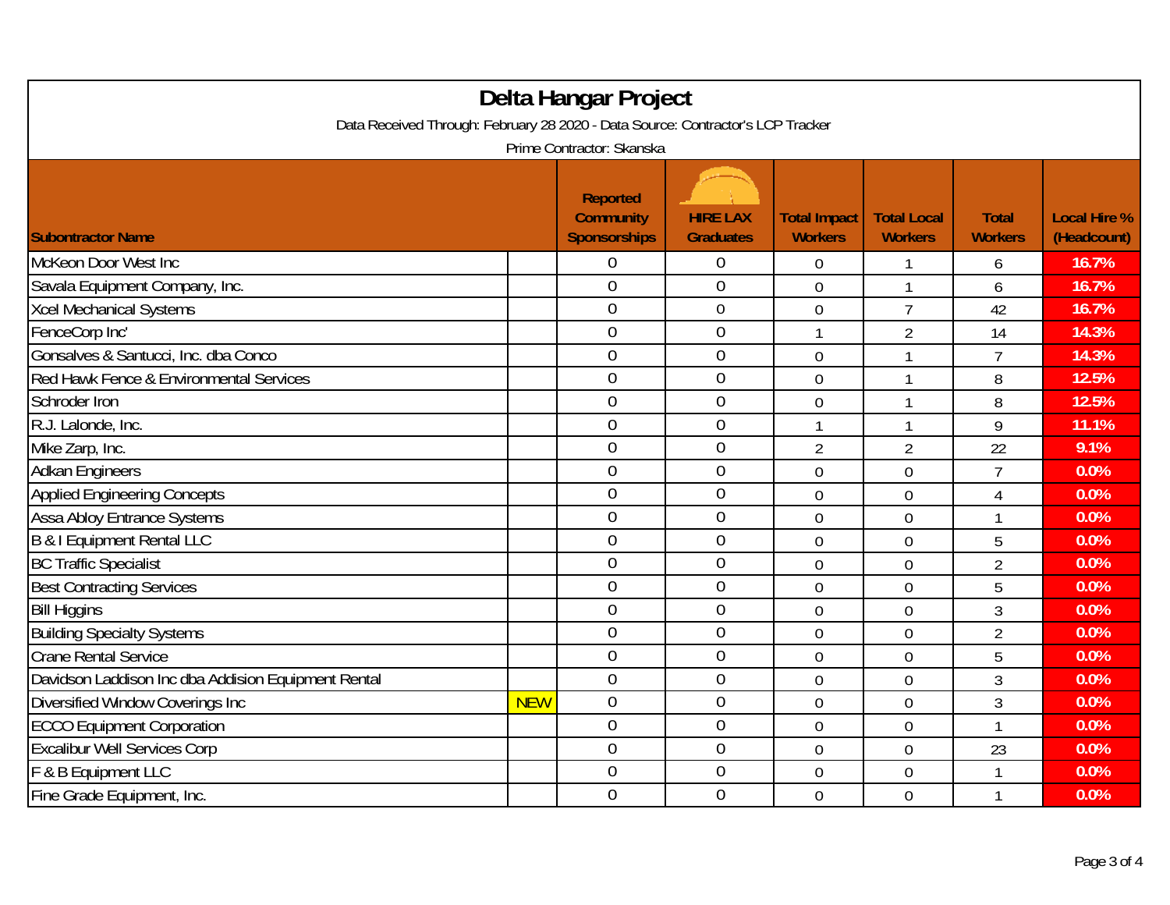| Delta Hangar Project                                                                                         |            |                                                     |                                     |                                       |                                      |                                |                                    |  |
|--------------------------------------------------------------------------------------------------------------|------------|-----------------------------------------------------|-------------------------------------|---------------------------------------|--------------------------------------|--------------------------------|------------------------------------|--|
| Data Received Through: February 28 2020 - Data Source: Contractor's LCP Tracker<br>Prime Contractor: Skanska |            |                                                     |                                     |                                       |                                      |                                |                                    |  |
| <b>Subontractor Name</b>                                                                                     |            | <b>Reported</b><br><b>Community</b><br>Sponsorships | <b>HIRE LAX</b><br><b>Graduates</b> | <b>Total Impact</b><br><b>Workers</b> | <b>Total Local</b><br><b>Workers</b> | <b>Total</b><br><b>Workers</b> | <b>Local Hire %</b><br>(Headcount) |  |
| <b>McKeon Door West Inc</b>                                                                                  |            | 0                                                   | $\boldsymbol{0}$                    | 0                                     |                                      | 6                              | 16.7%                              |  |
| Savala Equipment Company, Inc.                                                                               |            | $\overline{0}$                                      | $\mathbf 0$                         | $\overline{0}$                        | 1                                    | 6                              | 16.7%                              |  |
| <b>Xcel Mechanical Systems</b>                                                                               |            | $\overline{0}$                                      | $\boldsymbol{0}$                    | $\mathbf 0$                           | $\overline{7}$                       | 42                             | 16.7%                              |  |
| FenceCorp Inc'                                                                                               |            | $\overline{0}$                                      | $\boldsymbol{0}$                    | 1                                     | $\overline{2}$                       | 14                             | 14.3%                              |  |
| Gonsalves & Santucci, Inc. dba Conco                                                                         |            | $\overline{0}$                                      | $\mathbf 0$                         | $\overline{0}$                        | $\mathbf{1}$                         | $\overline{7}$                 | 14.3%                              |  |
| Red Hawk Fence & Environmental Services                                                                      |            | $\mathbf 0$                                         | $\mathbf 0$                         | $\mathbf 0$                           |                                      | 8                              | 12.5%                              |  |
| Schroder Iron                                                                                                |            | $\overline{0}$                                      | $\mathbf 0$                         | $\overline{0}$                        |                                      | 8                              | 12.5%                              |  |
| R.J. Lalonde, Inc.                                                                                           |            | $\overline{0}$                                      | $\overline{0}$                      | 1                                     | $\mathbf{1}$                         | 9                              | 11.1%                              |  |
| Mike Zarp, Inc.                                                                                              |            | $\mathbf 0$                                         | $\boldsymbol{0}$                    | $\overline{2}$                        | $\overline{2}$                       | 22                             | 9.1%                               |  |
| <b>Adkan Engineers</b>                                                                                       |            | $\overline{0}$                                      | $\mathbf 0$                         | $\overline{0}$                        | $\overline{0}$                       | $\overline{7}$                 | 0.0%                               |  |
| <b>Applied Engineering Concepts</b>                                                                          |            | $\overline{0}$                                      | $\overline{0}$                      | $\overline{0}$                        | $\overline{0}$                       | $\overline{4}$                 | 0.0%                               |  |
| <b>Assa Abloy Entrance Systems</b>                                                                           |            | $\overline{0}$                                      | $\overline{0}$                      | $\overline{0}$                        | $\overline{0}$                       | $\mathbf{1}$                   | 0.0%                               |  |
| <b>B &amp; I Equipment Rental LLC</b>                                                                        |            | $\overline{0}$                                      | $\mathbf 0$                         | $\overline{0}$                        | $\overline{0}$                       | 5                              | 0.0%                               |  |
| <b>BC Traffic Specialist</b>                                                                                 |            | $\overline{0}$                                      | $\mathbf 0$                         | $\mathbf 0$                           | $\mathbf 0$                          | $\overline{2}$                 | 0.0%                               |  |
| <b>Best Contracting Services</b>                                                                             |            | $\overline{0}$                                      | $\boldsymbol{0}$                    | $\mathbf 0$                           | $\mathbf 0$                          | 5                              | 0.0%                               |  |
| <b>Bill Higgins</b>                                                                                          |            | $\boldsymbol{0}$                                    | $\boldsymbol{0}$                    | $\mathbf 0$                           | $\mathbf 0$                          | $\mathfrak{Z}$                 | 0.0%                               |  |
| <b>Building Specialty Systems</b>                                                                            |            | $\overline{0}$                                      | $\overline{0}$                      | $\mathbf 0$                           | $\mathbf 0$                          | $\overline{2}$                 | 0.0%                               |  |
| <b>Crane Rental Service</b>                                                                                  |            | $\overline{0}$                                      | $\mathbf 0$                         | $\mathbf 0$                           | $\mathbf 0$                          | 5                              | 0.0%                               |  |
| Davidson Laddison Inc dba Addision Equipment Rental                                                          |            | $\overline{0}$                                      | $\mathbf 0$                         | $\overline{0}$                        | $\mathbf 0$                          | $\mathfrak{Z}$                 | 0.0%                               |  |
| Diversified Window Coverings Inc                                                                             | <b>NEW</b> | $\mathbf 0$                                         | $\boldsymbol{0}$                    | $\mathbf 0$                           | $\mathbf 0$                          | $\mathfrak{Z}$                 | 0.0%                               |  |
| <b>ECCO Equipment Corporation</b>                                                                            |            | $\overline{0}$                                      | $\overline{0}$                      | $\mathbf 0$                           | $\mathbf 0$                          | $\mathbf{1}$                   | 0.0%                               |  |
| <b>Excalibur Well Services Corp</b>                                                                          |            | $\overline{0}$                                      | $\overline{0}$                      | $\mathbf 0$                           | $\overline{0}$                       | 23                             | 0.0%                               |  |
| F & B Equipment LLC                                                                                          |            | $\overline{0}$                                      | $\boldsymbol{0}$                    | $\mathbf 0$                           | $\mathbf 0$                          | 1                              | 0.0%                               |  |
| Fine Grade Equipment, Inc.                                                                                   |            | $\mathbf 0$                                         | $\mathbf 0$                         | $\overline{0}$                        | $\mathbf 0$                          | $\mathbf{1}$                   | 0.0%                               |  |